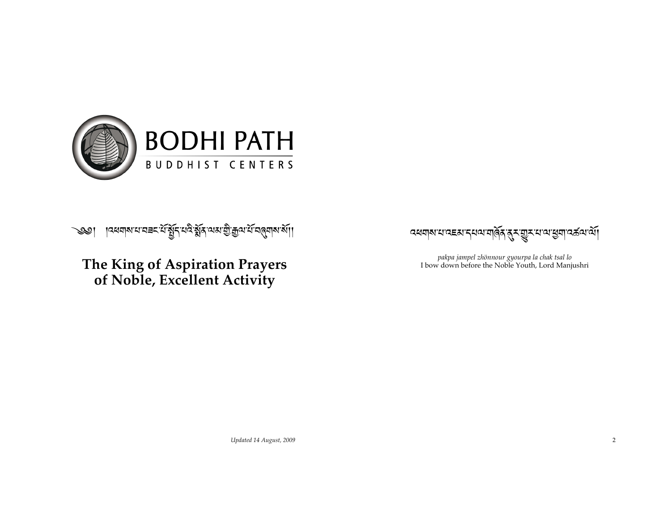

ऻॎख़ॺऻॺॱय़ॱय़ॾॸॱॲॱॺॕॗऻॗॸ॔ॱय़ढ़ॆॱॺॕॗऻॳॱॴक़ऀॖॎॻऀॴज़ॣॴख़ॴॗऻ  $\mathcal{Q}$ 

#### The King of Aspiration Prayers of Noble, Excellent Activity

෬ॺॺऻॺॱय़ॱढ़ॾॺॱॸऺय़ॺॱॺऻॺॖॕॺॱॺॖॣॸॱॼॗॸॱय़ॱॺॱॷॺऻॱढ़ॾ॔ॺॱॺॕऻ

pakpa jampel zhönnour gyourpa la chak tsal lo I bow down before the Noble Youth, Lord Manjushri

Updated 14 August, 2009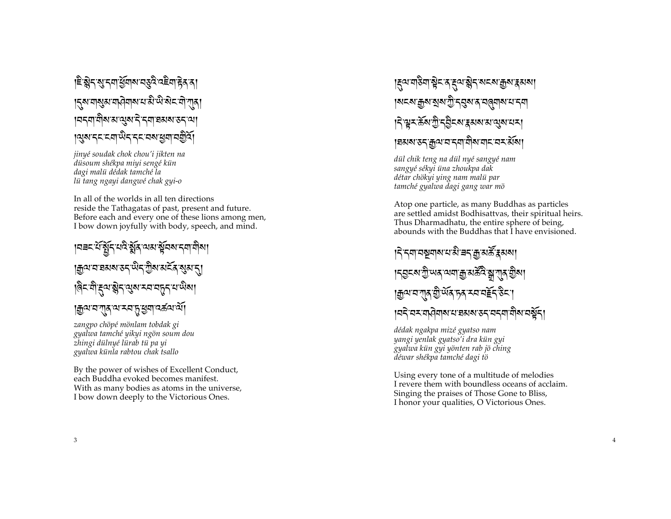#### ।<sup>ਏ-</sup>ଛ୍ଲे< શુ <শ ধূমাঝ বড়ব বইনা हेड ड ।<u>ຽសធាសួសធាសិ</u>ធាសធាស៊ូ ស្ថាននៃ ជា ភាស **ฺ ।** वद्मा वीष अ'व्युष दे द्मा व्रत्य रुद्ध খেত্ৰ হোৱা অৱত্য স্থায় পৰীত্

jinyé soudak chok chou'i jikten na düsoum shékpa miyi sengé kün dagi malü dédak tamché la lü tang ngayi dangwé chak gyi-o

In all of the worlds in all ten directions reside the Tathagatas of past, present and future. Before each and every one of these lions among men, I bow down joyfully with body, speech, and mind.

#### |मबद्धिं सुद्धिक्षेत्र अत्र सुवस्य द्वा वीसा <u>। क</u>ुवाबाञ्चरू उन् सैन् कुलार् स्य स्थान्। ।बैनकोङ्गद्भाञ्जनसुष्य मन्नद्भाष्य पोषा । <u>ক</u>ুন্ম ব'ন্**দ্ৰ বাত্ৰ বিদ্যালয়**

zangpo chöpé mönlam tobdak gi gyalwa tamché yikyi ngön soum dou zhingi dülnyé lürab tü pa yi gyalwa künla rabtou chak tsallo

By the power of wishes of Excellent Conduct, each Buddha evoked becomes manifest. With as many bodies as atoms in the universe, I bow down deeply to the Victorious Ones.

### ड़ॎय़ॱॻऻऀऄॻॱॺॗॆॸॱॸॱड़य़ॱऄॗॸॱॺॸॺॱक़ॗॺॱड़ॺॺग़ <u>।ঝহম'ক্ৰুম'মুম'স্ট্ৰ'ব্ৰুম'ৰ'বৰ্</u>ত্তমাম'থ'ব্ৰ *୲*ঀ৾ৠয়৳য়ৼৗৣ৾ৼঀৣ৾ঢ়ৼ৸ৼঀ৸৸৸৸৸ <u>।</u> হমম'ডন ক্রম'ন'ন্দামীম'নান'নন র্মমা

dül chik teng na dül nyé sangyé nam sangyé sékyi üna zhoukpa dak détar chökyi ying nam malü par tamché gyalwa dagi gang war mö

Atop one particle, as many Buddhas as particles are settled amidst Bodhisattvas, their spiritual heirs. Thus Dharmadhatu, the entire sphere of being, abounds with the Buddhas that I have envisioned.

#### ៲ঀ৾ৼয়ঢ়ঌয়৶য়৻ৼড়ৢ৻য়ৼ৻ড়৻ড়ৢৼ <u>।২ইখ্য মূলিৰ লবাই প্ৰভূষ্টে স্বৰ্</u>যাদি ব্ৰিল। **। ক্ৰু**অ'ন'শ্ৰু শ্ৰীৰ্অৰ দৰ মন্দৰ্ভি উনা <u>।ঘই ঘৰ যাত্ৰিয়াৰ ঘাৰমৰ ওৰ ঘৰবা য়াৰ ঘৰ্ষ্টৰ।</u>

dédak ngakpa mizé gyatso nam yangi yenlak gyatso'i dra kün gyi gyalwa kün gyi yönten rab jö ching déwar shékpa tamché dagi tö

Using every tone of a multitude of melodies I revere them with boundless oceans of acclaim. Singing the praises of Those Gone to Bliss, I honor your qualities, O Victorious Ones.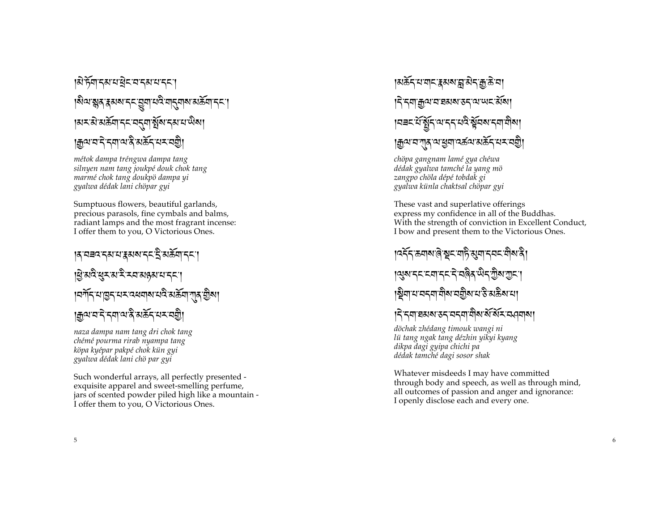#### |มิหิต รุมมาสิรามราช <mark>ปร</mark> - - - - -  $\mathbf{I}$  $|$ ல்வதுத்துவது திரித்து $\alpha$ த்து திரை - -  $\mathbf{I}$  $|$ हाम:हो:सर्वेचा'म्मेन्ट्रान्युल:मह्यादाखेल $|$ - -  $\mathbf{I}$ <sup>ক্ৰি</sup>ল:ন'ৰ'প্ৰাপ্ত,'প্ৰস্থাৰ অভিযোগ<br>-- -

*métok dampa tréngwa dampa tang silnyen nam tang j oukpé douk chok tang marmé chok tang doukpö dampa yi gyalwa dédak lani chöpar gyi*

Sumptuous flowers, beautiful garlands, precious parasols, fine cymbals and balms, radiant lamps and the most fragrant incense: I offer them to you, O Victorious Ones.

#### <mark>|สฺ ฺ</mark>ฺघ∃ฺद ऱ्याद्य द्रश्य त्याद्य दि - - .<br>.<br>.  $\mathbf{I}$  $\mathbf{I}$ g रादे सुरारा रे राजा प्रथा यान्<mark>न</mark> - -  $\mathbf{I}$  $|$ वर्गे $\pm$ 'त्रोडि $\pm$ त्तर्यज्ञक्षेत्राज्ञ्रह्म $|$ गुल् कुल $|$ - - - -  $\mathbf{I}$ ৰ্ভিল,<u>বাৰ,পুৰুত পুৰুত পৰা</u> - -

*naza dampa nam tang dri chok tang chémé pourma rirab nyampa tang köpa kyépar pakpé chok kün gyi gyalwa dédak lani chö par gyi*

Such wonderful arrays, all perfectly presented exquisite apparel and sweet -smelling perfume, jars of scented powder piled high like a mountain - I offer them to you, O Victorious Ones.

#### ।अर्क्ट्-रायादा<mark>र</mark>्थला सि. - -  $|\overline{\mathsf{h}}$ 'ন্শাক্সুপ'ন'য়মম'স্কর্মী - - - |नबदार्सिङ्गेदालाद्याद्रस्वाद्यालीला - .<br>.<br>.  $\mathbf{I}$ क्वलान् अर्थियां उष्ट्<sub>रा</sub> अष्ट्र्यं सम्राजकी।<br>चैलान् अर्थियां स्थान - - -

*chöpa gangnam lamé gya chéwa dédak gyalwa tamché la yang mö zangpo chöla dépé tobdak gi gyalwa künla chaktsal chöpar gyi*

These vast and superlative offerings express my confidence in all of the Buddhas. With the strength of conviction in Excellent Conduct, I bow and present them to the Victorious Ones.

#### lउट्ट'श्याल (ब्रेड्'ल्री अंश्वा टेवट ग्रुथ रु -  $\log$ ح $\pi$ ام المركب المسابقة المسابقة المسابقة المسابقة المسابقة المسابقة المسابقة المسابقة المسابقة المسابقة ا .<br>.<br>.  $\mathbf{I}$  $\mathbf{I}$ ষ্ট্ৰ্নাথ নব্নাৰীৰ নত্ৰীৰ ঘস্তি মন্ত্ৰীৰ ঘা - - -

# $|\hat{\gamma}$ द्मा घठावा उद्यवद्मा योवा बेंग्ब्रिंक्य व्यवस्था

*döchak zhédang timouk wangi ni lü tang ngak tang dézhin yikyi kyang dikpa dagi gyipa chichi pa dédak tamché dagi sosor shak*

Whatever misdeeds I may have committed through body and speech, as well as through mind, all outcomes of passion and anger and ignorance: I openly disclose each and every one.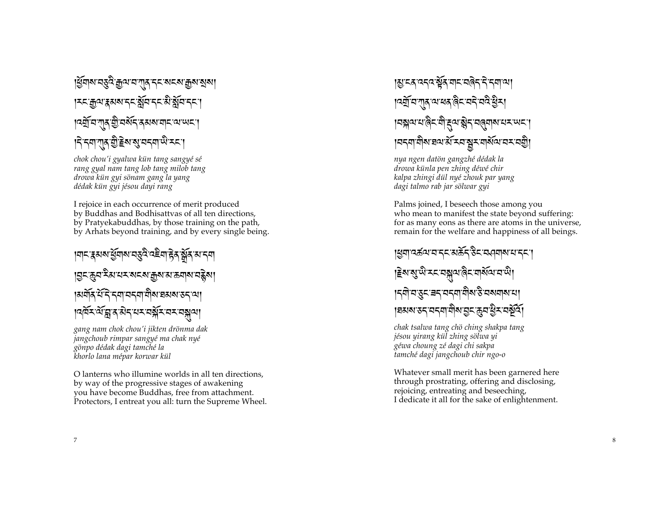ধ্রিমাঝ'ন্ড্র্ই'ক্রুঝ'ন'শ্মুম'ন্ম'ম্বামাক্কুম'ম্রুম'ম **135 สิง เริงจะระชัด 55 สิงครร । दर्यो य गात यो यश्रमे पर प्रथा यो या प्रथा** <u>|</u> देनवाणुक् शुद्धिकाञ्च व्यवस्थान्य

chok chou'i gyalwa kün tang sangyé sé rang gyal nam tang lob tang milob tang drowa kün gyi sönam gang la yang dédak kün gyi jésou dayi rang

I rejoice in each occurrence of merit produced by Buddhas and Bodhisattvas of all ten directions, by Pratyekabuddhas, by those training on the path, by Arhats beyond training, and by every single being.

।শ**ৃতি মুখ্য দিয়ে এই বিষ্টা** দিয়ে বিষ্টাৰ বিষ্টাৰ বিষ্টাৰ স <u>୲য়</u>౯ড়য়ৼৢয়৻য়ৼৼ৶ৼ৶ড়৸য়ড়য়৶য়ড়য়ৗ ู เมสัส यदि दवा वदवा वोरा ब्रह्म अरुद व्या **ๆจุศั**รณ์ สูสฺ สิรุ ผรมสุสรามรามสุข

gang nam chok chou'i jikten drönma dak jangchoub rimpar sangyé ma chak nyé gönpo dédak dagi tamché la khorlo lana mépar korwar kül

O lanterns who illumine worlds in all ten directions. by way of the progressive stages of awakening you have become Buddhas, free from attachment. Protectors, I entreat you all: turn the Supreme Wheel.

# <u>।</u>য়৾ৼৼৼৼৼ৻ৼ৻ৼ৻ৼ৻ৼ৻ৼ৻ৼ৻ৼ৻ৼ৻ৼ৻ৼ৻৸৻৸ । ৰশ্ৰী নাগাৰ আৰম্ভ ৰিমাননী বন্ধ বিদ্যা ๅ๘<u>๚๛๚๏๛๛๛๚๚๚๚๚๚๚๚๚๚</u> |ผรุขเขิงเฮงเชิ รมรัช ของ ผาระสฐิ

nya ngen datön gangzhé dédak la drowa künla pen zhing déwé chir kalpa zhingi dül nyé zhouk par yang dagi talmo rab jar sölwar gyi

Palms joined, I beseech those among you who mean to manifest the state beyond suffering: for as many eons as there are atoms in the universe, remain for the welfare and happiness of all beings.

#### <u>।समादर्द्धवादाददारार्द्धदाद्वेदाद्यवनाबादाददा</u> हिरासुप्तिम् मञ्जूषालेन गर्सियामधी। ∣ॸॵय़ॶॣॸॱॾॸॱॺॸॺॱॺऀॺॱऄॱॺॺॺॺॎॱॺ ।ঘঝন্য ডন'নননা'নীন'মুন'কুন'থ্ৰীন'নষ্ট্ৰী

chak tsalwa tang chö ching shakpa tang jésou yirang kül zhing sölwa yi géwa choung zé dagi chi sakpa tamché dagi jangchoub chir ngo-o

Whatever small merit has been garnered here through prostrating, offering and disclosing, rejoicing, entreating and beseeching, I dedicate it all for the sake of enlightenment.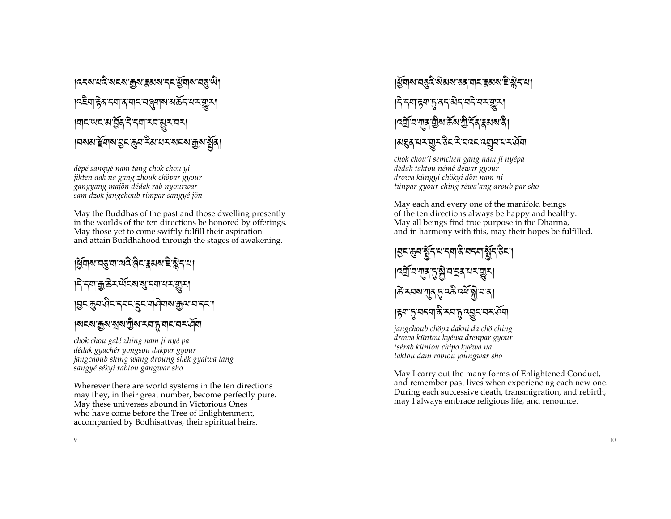<u>।</u>दद्बायदे बदबाक्कबाद्रसबादद युवाबाय्ङ् से। <u>।</u>दद्देवाद्गेद दवाद वाद वलवात्र अर्केद यस् ग्रुत। विदिन्तर अं पुरुष्ट र र विदिन्तर ।¤মমার্দ্র্যান্ত দূর ইমানম মনমাক্কুমার্শ্বন্

dépé sangyé nam tang chok chou yi jikten dak na gang zhouk chöpar gyour gangyang majön dédak rab nyourwar sam dzok jangchoub rimpar sangyé jön

May the Buddhas of the past and those dwelling presently in the worlds of the ten directions be honored by offerings. May those yet to come swiftly fulfill their aspiration and attain Buddhahood through the stages of awakening.

।ধ্রমান্য নত্ত না নান্ত ৰিম হ্লমন্য ইন্ড্রাম। **।** বিশ্বাক্সউৎ অঁত্যান্ত্ৰী বিশিষ্ট্যা |शुरुःकुवःपेदादवदादुदावापेवाबाक्कुवावाददा। <u>।ঝহম'ক্কুম'মুম'স্টুম'ম্ম'দ্ৰ'মাহ'ম্ম'ৰ্ম্ম</u>

chok chou galé zhing nam ji nyé pa dédak gyachér yongsou dakpar gyour jangchoub shing wang droung shék gyalwa tang sangyé sékyi rabtou gangwar sho

Wherever there are world systems in the ten directions may they, in their great number, become perfectly pure. May these universes abound in Victorious Ones who have come before the Tree of Enlightenment, accompanied by Bodhisattvas, their spiritual heirs.



<u>।ধ্</u>র্যান্য বস্তুর নীমন্য স্তর বাবায়কার ইন্ত্রাবায় ड़ॎॱॸॺॱॎॸॺॱॸॖॱॺॸॱऄॸॱॺॸॆॱॺॸॱॼॖॸॱ <u>।</u> বর্মু ন'শ্মুর'ট্রুর'র্ক্রম্বারী। ।अब्रुद्धायर:ब्रुट्द्धात्र:ब्रव्यं बर्बावायर:स्वी

chok chou'i semchen gang nam ji nyépa dédak taktou némé déwar gyour drowa küngyi chökyi dön nam ni tünpar gyour ching réwa'ang droub par sho

May each and every one of the manifold beings of the ten directions always be happy and healthy. May all beings find true purpose in the Dharma, and in harmony with this, may their hopes be fulfilled.

ड़ॎॸख़ॖॺऄॗ॔ॸॱॺॱॸॺऄॎऀॱॺॸॺॱऄॗ॔ॸऄॸॱ ।ङें <u>स्वबल्</u>णात् प्रादक्षे दर्शक्षे वाद् ड़ॎॺॸॎॗॱॺॸॺऻऄऀॱॸॺफ़ॗख़ॣॾॖॸॱॺॸॱॶॕॺऻ

jangchoub chöpa dakni da chö ching drowa küntou kyéwa drenpar gyour tsérab küntou chipo kyéwa na taktou dani rabtou joungwar sho

May I carry out the many forms of Enlightened Conduct, and remember past lives when experiencing each new one. During each successive death, transmigration, and rebirth, may I always embrace religious life, and renounce.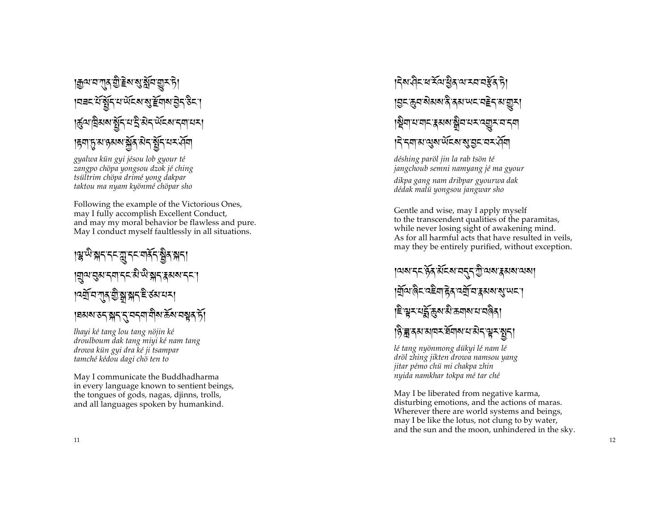#### <u>|ক্ৰূ</u>ম'ন'শ্ৰম্ভ্ৰীষ্ট্ৰম'মুইন'ভ্ৰাম'ট। ऻॻॿॸॱय़॔ॱॺॕॖऻॖॸऺॱय़ॱॶख़ॎॱऄऀड़ऻॷॾऻॳ । कुष्य विराव युद्धिम् याद्वै अन् संदव्य मन्या या । हृगा तुः ह्य हुड्य ब्राह्म ब्राह्म द्वि द्वारा स्वी विद्या

gyalwa kün gyi jésou lob gyour té zangpo chöpa yongsou dzok jé ching tsültrim chöpa drimé yong dakpar taktou ma nyam kyönmé chöpar sho

Following the example of the Victorious Ones, may I fully accomplish Excellent Conduct, and may my moral behavior be flawless and pure. May I conduct myself faultlessly in all situations.

#### ।ৠ<sup>ড়৾</sup>য়ঀঀঀৠৣঀঀয়য়য়য়ঀ |ॻॣॴय़ॖॖॺॱॸॺॱॸॸ<sup>ॱऄॱऄॱ</sup>ऄॸॱ**३**ॺॺॱॸॸॱ<u>ॱ</u> ঀঽয়ৼয়৸য়ৣড়ৗৣয়৸ৼঢ়৻ড়৸ৼ৸ 18अब उन बना तानना मौब केंबान सुब हैं।

lhayi ké tang lou tang nöjin ké droulboum dak tang miyi ké nam tang drowa kün gyi dra ké ji tsampar tamché kédou dagi chö ten to

May I communicate the Buddhadharma in every language known to sentient beings, the tongues of gods, nagas, djinns, trolls, and all languages spoken by humankind.

# ड़ॎॺॱख़ऀड़ॱॺॱड़ॕॺॱख़ॆॗड़ॱॺॱॸड़ॱॸड़ॱॸऀॎ **। चुमलूमा से अस**े दुसा समाना हुए साला है। ॾॎॣॎॴॴॾऻॾॴॳफ़ॖऻॷॎॸख़ॷॎ *।* รรมาม สุมพันสงสุ มีชาวะสุข

déshing paröl jin la rab tsön té jangchoub semni namyang jé ma gyour

dikpa gang nam dribpar gyourwa dak dédak malu yongsou jangwar sho

Gentle and wise, may I apply myself to the transcendent qualities of the paramitas, while never losing sight of awakening mind. As for all harmful acts that have resulted in veils, may they be entirely purified, without exception.

**ู เ**ฉพรร หิ้ส สัรส สรร ขิดสรรมสาม <u>୲ସ</u>ୁଁଦା ଜିମାସିଆ <del>ଟ</del>ିଏ ଏସୁଁ ସ<sup>ୁ</sup>ସେ ଏକା ଶିର୍ଯ୍ୟା <u>।</u>ইণ্ডুমথ<u>ৰ্</u>ন্নজুমামীক্ৰয়ামামান্নৰী

हिन्नु दयायावर र्वेयायाया ग्रेन सूर सुना

lé tang nyönmong dükyi lé nam lé dröl zhing jikten drowa namsou yang jitar pémo chu mi chakpa zhin nyida namkhar tokpa mé tar ché

May I be liberated from negative karma, disturbing emotions, and the actions of maras. Wherever there are world systems and beings, may I be like the lotus, not clung to by water, and the sun and the moon, unhindered in the sky.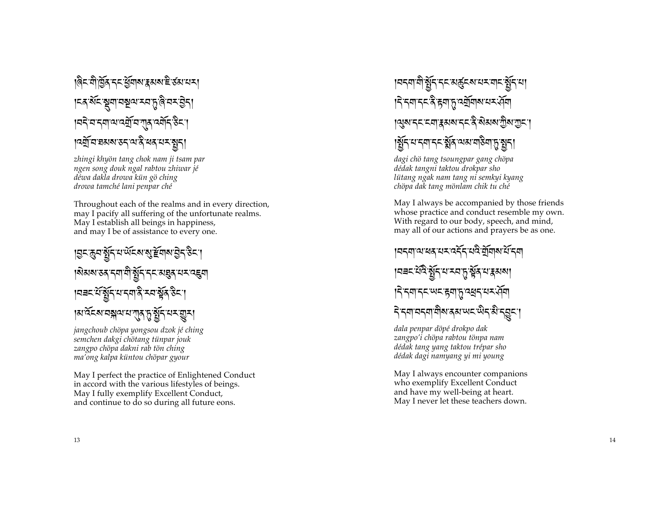# ।बैद-वोद्विद दद यूँवाब रूअब है उब यस। |म्बर्थेमञ्जूषायञ्चल स्वानुद्धिमसञ्जूष । यदे य दया अर्थ्यु य गुरु वर्षोद डेट । ๆจฎ์ ตายมา 35 ณาริ ผล ผม สูรา

zhingi khyön tang chok nam ji tsam par ngen song douk ngal rabtou zhiwar jé déwa dakla drowa kün gö ching drowa tamché lani penpar ché

Throughout each of the realms and in every direction, may I pacify all suffering of the unfortunate realms. May I establish all beings in happiness, and may I be of assistance to every one.

**। মুনজুনস্থিন যা**ৰ্থৰ মান্ত ব্ৰিটি উনা ୲য়য়য়ৼঽঀৼঀঀৗৠৣ৾ঀৼঀৼয়য়ঀৢঀৼঀৼ৻৽ৼ |मबदाय युद्ध मात्रा दे स्वार्थेद उदा ।अ`र्वेदब्ग्वङ्गावग्यानु तुर् र्वेद्गम् सूर।

jangchoub chöpa yongsou dzok jé ching semchen dakgi chötang tünpar jouk zangpo chöpa dakni rab tön ching ma'ong kalpa küntou chöpar gyour

May I perfect the practice of Enlightened Conduct in accord with the various lifestyles of beings. May I fully exemplify Excellent Conduct, and continue to do so during all future eons.

## <u>।</u>¤ॸॺऻॷॕॸॱॸॸॱॳख़ॖॕॸॺॱॺॸॱॺऻॸॱॺॖॕॸॱॺऻ ड़ॎॱॸॺॱॸॸॱऄऀॱहॺॱॸॣॱढ़ॺॖॕॺऻॺॱय़ॸॱॶ॔ॺऻ **।ঝুম'ন্ম'মো'ৰুমম'ন্ম'ৰ মিমম'ট্ৰীম'য়াম'।** |श्लें पानगाननार्श्चेत व्यव्य पाठेगा तुः शन्।

dagi chö tang tsoungpar gang chöpa dédak tangni taktou drokpar sho lütang ngak nam tang ni semkyi kyang chöpa dak tang mönlam chik tu ché

May I always be accompanied by those friends whose practice and conduct resemble my own. With regard to our body, speech, and mind, may all of our actions and prayers be as one.

। নহ্মা নামৰ নহৰ বৰ্তু নামৰ নামৰ দি य़ॎॾॸॱय़ऀढ़ॱॺॗॕॗॸॱय़ॱॸय़फ़ॣॱॺॕॢॺॱय़ॱड़ॺॺऻ ड़ॎॱॸॺॱॸॸॱॱॺॸॱड़ॺॱॸॖॱढ़ॺॖॸॱय़ॸॱॶ॔ॺ ริรุศรรศาติมสุมพรณิรุมิรุฐรา

dala penpar döpé drokpo dak zangpo'i chöpa rabtou tönpa nam dédak tang yang taktou trépar sho dédak dagi namyang yi mi young

May I always encounter companions who exemplify Excellent Conduct and have my well-being at heart. May I never let these teachers down.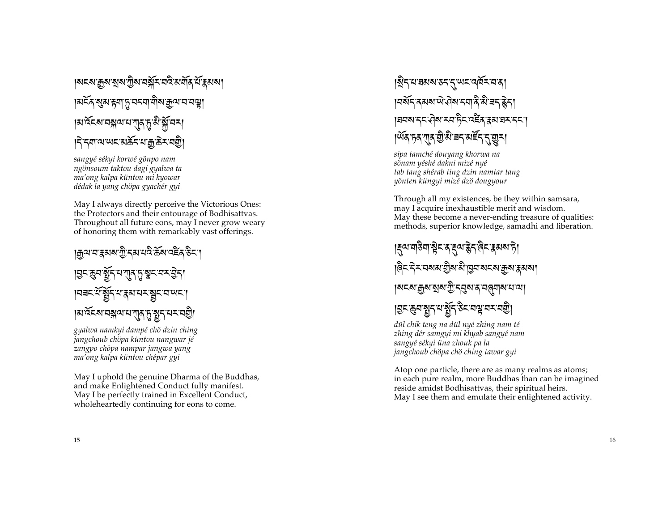### <u>।ঝহম'ক্কুম'মুম'সুম'বর্ম্লুহ'বই'মর্ম্নর'র্ম'</u>ক্কুসমা <u>।ঝইঁৰ ৰূম দ্ববাদ বৰবা নীৰ দ্ববাৰ বজা</u> ।अर्वेदबावङ्गवायाग्**त्** तृ बे क्लॅं वस् **।** देनबावाणदारार्केदायाक्काले रावण्डी

sangyé sékyi korwé gönpo nam ngönsoum taktou dagi gyalwa ta ma'ong kalpa küntou mi kyowar dédak la yang chöpa gyachér gyi

May I always directly perceive the Victorious Ones: the Protectors and their entourage of Bodhisattvas. Throughout all future eons, may I never grow weary of honoring them with remarkably vast offerings.

#### <u>।क़</u>ॺॱॺॱয়ৢয়য়ॱॻॖऀॱॸॺॱय़ॺऀॱक़ॕॺॱॺऀॾॕढ़ॱड़ऀॸॱग़ ड़ॎॸढ़ॖॺॷॕॗॸॱॺॱग़ॖॸफ़ॗॷॸॱॺॸॱऄॖॸऻ । ਸ਼ਤਸ਼ ਪ੍ਰੈੱਸ ਮਾਰੀ ਕਾਰ ਕੀਤਾ ਸ਼ਹਿਰ ਸਿੰਘ ਸੀ।<br>ਕਿਸਾਨ ਕੀਤੀ ਦੀ ਕੀਤੀ ਸਿੰਘ ਸੀ ਕੀਤੀ ਸਿੰਘ ਸੀ ਕਿਸਾਨ ਕਿਸਾਨ ਸਿੰਘ ਸੀ ਸਿੰਘ ਸ หาส์ สมารสุขาม ที่ 25 มี ความ สมิ

gyalwa namkyi dampé chö dzin ching jangchoub chöpa küntou nangwar jé zangpo chöpa nampar jangwa yang ma'ong kalpa küntou chépar gyi

May I uphold the genuine Dharma of the Buddhas, and make Enlightened Conduct fully manifest. May I be perfectly trained in Excellent Conduct, wholeheartedly continuing for eons to come.

#### ।ষ্ট্ৰন'থ'হৰুম'ডন'ন'অনিম'ন'ৰ **। पर्यन कसया पे खेळानवा के से बन हेन्** 1व्रवसाद्दावेसाम्बन्धिर वहेरु हुसावमादमा । অঁৰ দৰ শাৰ শ্ৰীষ্ট নৰ মৰ্দ্ৰ ন্ম মুকা

sipa tamché douyang khorwa na sönam yéshé dakni mizé nyé tab tang shérab ting dzin namtar tang yönten küngyi mizé dzö dougyour

Through all my existences, be they within samsara, may I acquire inexhaustible merit and wisdom. May these become a never-ending treasure of qualities: methods, superior knowledge, samadhi and liberation.

<u>|ह्</u>व्याद्मडेवाञ्चेदाद्दव्यङ्केदलिवाहरूका है। ।बै< दे≺ বমন্ত্ৰীয় নীত্ৰবাৰ<মান্ত্ৰীয় ধৰণ ।<u>য়ৼ৶<sup>ড়</sup>৶য়৶য়ৣ৾ৼঀঽ৾য়ৼ৸ড়৸৸</u>৻৸ ड़ॎॸढ़ॖॺॺॗॸय़ॺॗॕॸऄॸॺॷॺॸॺॼॖऀ

dül chik teng na dül nyé zhing nam té zhing dér samgyi mi khyab sangyé nam sangyé sékyi üna zhouk pa la jangchoub chöpa chö ching tawar gyi

Atop one particle, there are as many realms as atoms; in each pure realm, more Buddhas than can be imagined reside amidst Bodhisattvas, their spiritual heirs. May I see them and emulate their enlightened activity.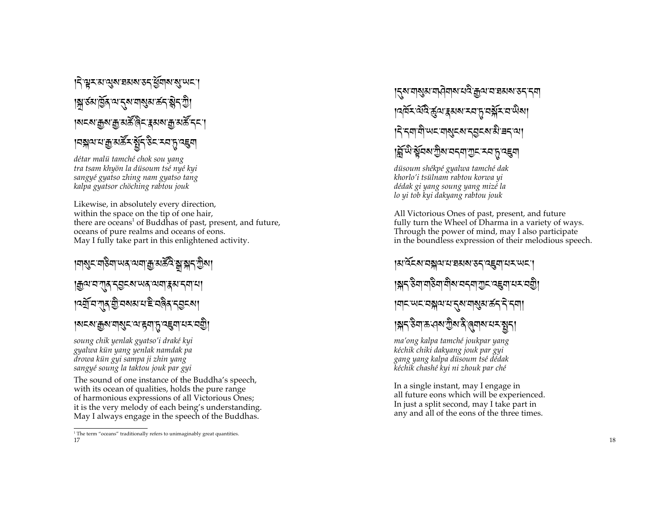#### ।< শ্ৰুমমান্ত্ৰমান্তমৰ্জনামন্ত্ৰাজ্যখন । अउठा बिर व्यानुषया कर बेन सेने <u>|</u>ॺॸॺॱक़ॗॺॱक़ॗॱॺक़ॕऀऀढ़ॸॱड़ॺॺॱक़ॗॱॺक़ॕॱॸॸॱ **। वङ्गालाः प्राण्ड्यान् विद्यान्त्र विद्या**

détar malü tamché chok sou yang tra tsam khyön la düsoum tsé nyé kyi sangyé gyatso zhing nam gyatso tang kalpa gyatsor chöching rabtou jouk

Likewise, in absolutely every direction, within the space on the tip of one hair, there are oceans<sup>1</sup> of Buddhas of past, present, and future, oceans of pure realms and oceans of eons. May I fully take part in this enlightened activity.

# ୲শঝুমদাউনা অন অনাক্সুমস্ক্রী স্নামন স্ট্রন্স। |ক্ৰুণ্ম বাৰ্ বহ্ৰব্ৰ অৱ নেৰা <del>ব্</del>বৰা বৰা ব <u>।</u>दर्यु य गुरु ग्री यब्धय य है यत्रैर द्र्य द्रश <u>|</u>N८ས་རྒྱས་གསུང་ལ་རག་ད་འངུག་པར་བརྱི་

soung chik yenlak gyatso'i draké kyi gyalwa kün yang yenlak namdak pa drowa kun gyi sampa ji zhin yang sangyé soung la taktou jouk par gyi

The sound of one instance of the Buddha's speech, with its ocean of qualities, holds the pure range of harmonious expressions of all Victorious Ones; it is the very melody of each being's understanding. May I always engage in the speech of the Buddhas.

<u>।</u><়ম্মান্মুম্মান্দ্ৰীনামান্ত্ৰীয় নাম্ৰম্ভৰ স্থা <u>।</u> देन्द्रगायोः पाद्यद्र्य द्रव्युद्रूया स्नै चन् त्या ।ङ्गॅ <sup>.</sup> स्वैद्या गुरु दर्दया गुरू दय हु दहवा

düsoum shékpé gyalwa tamché dak khorlo'i tsülnam rabtou korwa yi dédak gi yang soung yang mizé la lo yi tob kyi dakyang rabtou jouk

All Victorious Ones of past, present, and future fully turn the Wheel of Dharma in a variety of ways. Through the power of mind, may I also participate in the boundless expression of their melodious speech.

ามาวัยงานสมานสมาน สารานะ สามารถ <u>।য়</u>৲՟৳য়৾য়য়৳য়৸য়৸ৼঢ়৸ড়৸ৼঢ়ড়ৢ৾ |ॺऻॸॱ**ॱ**ॺॸॱॺ**ॠॺॱ**ॺॱॸॣॺॱॺऻॺॖॺॱढ़॔ॸॱॸॆॱॸॺऻ । अत्र उैमाऊ जया गुरु देखाना पर सुता

ma'ong kalpa tamché joukpar yang kéchik chiki dakyang jouk par gyi gang yang kalpa düsoum tsé dédak kéchik chashé kyi ni zhouk par ché

In a single instant, may I engage in all future eons which will be experienced. In just a split second, may I take part in any and all of the eons of the three times.

 $1$ <sup>1</sup> The term "oceans" traditionally refers to unimaginably great quantities. 17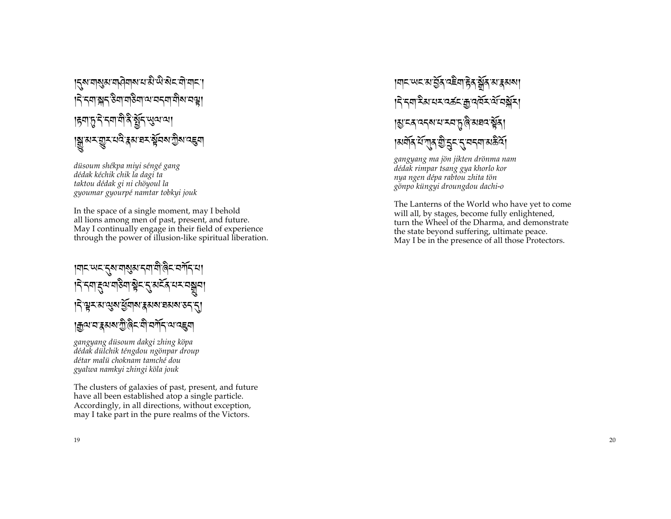## ड़ॎॺॱॺऻॺॖॴय़फ़ऄॺॱय़ॱऄॱऄॱऄॸॱॺॊॱॺऻॸॱऻ हिन्द्रमाञ्जद उैमा महेमा अपद्ममा मोठा वस् |हयातु ने नया यो है यून सुव्य व्या |য়ৣ৾<sup>੶</sup>য়৸য়ৣয়ৼঢ়৻ৼৢৼয়৻য়৸ৼঢ়ঢ়৸ড়ড়৸

düsoum shékpa miyi séngé gang dédak kéchik chik la dagi ta taktou dédak gi ni chöyoul la gyoumar gyourpé namtar tobkyi jouk

In the space of a single moment, may I behold all lions among men of past, present, and future. May I continually engage in their field of experience through the power of illusion-like spiritual liberation.

#### ।শ< অবর্ত্তম নাম্ভৰ বনা নীত্ত্বিব নর্শবাধা |ॸॆॱॸॺऻड़ॖ<sup>ॴ</sup>ॺऻढ़ॖॴऄॖॸॱॸॖॗॴड़ॳॸॸॺॷॣॺ <u>।</u> २ भूर अप्युष युवाब द्वयब चयब उदाह । ক্রুঅ'ম'ক্কুমম'স্ট্রীই'মী'মর্শ<sub>ব</sub>্রান্থ' বহুমা

gangyang düsoum dakgi zhing köpa dédak dülchik téngdou ngönpar droup détar malü choknam tamché dou gyalwa namkyi zhingi köla jouk

The clusters of galaxies of past, present, and future have all been established atop a single particle. Accordingly, in all directions, without exception, may I take part in the pure realms of the Victors.

## ।শ**ন অনস্মাৰ্থীৰ ব**ইবাইৰ ষ্ট্ৰৰ মাধ্ৰমৰণ । दे द्र्या देश यर वर्त्न द्रां वर्षे र व्यं वर्ष्म ।য়ৢ<sup>৻</sup>ঽ৻৻ৢৼ৶য়৻য়৸ড়ড়ৢ৻৻৸য়ঢ়ড়য় ।अर्वोत् र्ये गुत्र छे दुम् दुः चम् वा अर्कवे।

gangyang ma jön jikten drönma nam dédak rimpar tsang gya khorlo kor nya ngen dépa rabtou zhita tön gönpo küngyi droungdou dachi-o

The Lanterns of the World who have yet to come will all, by stages, become fully enlightened, turn the Wheel of the Dharma, and demonstrate the state beyond suffering, ultimate peace. May I be in the presence of all those Protectors.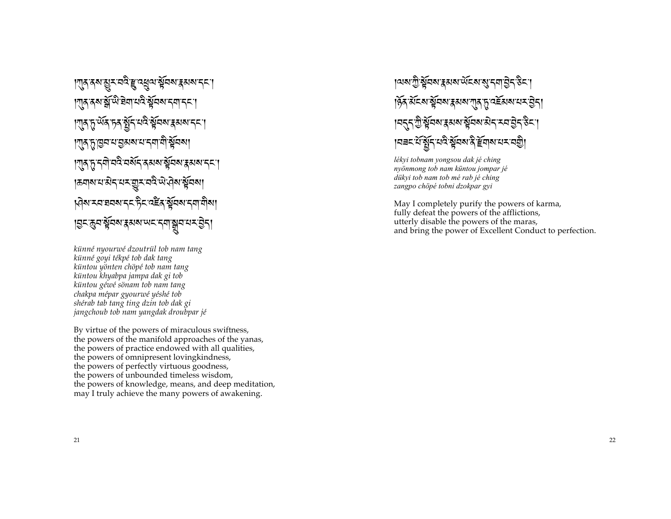| गुरु दथ युरू ववै हु वस्य स्वयं इसय दन्। । गुरु दब्ध से अप्रै से पायरे से वस दिन प । गुरु हु र्थेद हुद र्श्वेद घरे र्श्वेदव र रूप द <u>।</u> गुरु हु ब्रिय या चुरु बाय या त्या वो सूचब्या । गुरु तु नयो ववै वर्षेन रुसय सूत्र र स्थानना |ऊवारायात्रीमायम् सुमाववैन्याने सूचया प्लिय स्वानयय दद्द हैद वहें यूर्ववय द्वा वीया १३८: कुव भूविषा द्वया सवाय दवा सुवाय र होता

künné nyourwé dzoutrül tob nam tang künné goyi tékpé tob dak tang küntou yönten chöpé tob nam tang küntou khyabpa jampa dak gi tob küntou géwé sönam tob nam tang chakpa mépar gyourwé yéshé tob shérab tab tang ting dzin tob dak gi jangchoub tob nam yangdak droubpar jé

By virtue of the powers of miraculous swiftness, the powers of the manifold approaches of the yanas, the powers of practice endowed with all qualities, the powers of omnipresent loving kindness, the powers of perfectly virtuous goodness, the powers of unbounded timeless wisdom, the powers of knowledge, means, and deep meditation, may I truly achieve the many powers of awakening.

## ।ঝম'স্ট্র র্ষুনম'র্স্কমম'র্অর্মম'র্ম্বান্ত্র্দ'র্উন'। ।हेन सेंट्र सेंच्या हुसरा गुन हु वहें सराय संबुद्धा १८८२ गुर्द्धियबाह्र बाबार् सूत्र बार दिन देन हैन |मबदार्यश्चेंदायदेश्वरबादे देवारायरावण्डे।

lékyi tobnam yongsou dak jé ching nyönmong tob nam küntou jompar jé dükyi tob nam tob mé rab jé ching zangpo chöpé tobni dzokpar gyi

May I completely purify the powers of karma, fully defeat the powers of the afflictions, utterly disable the powers of the maras, and bring the power of Excellent Conduct to perfection.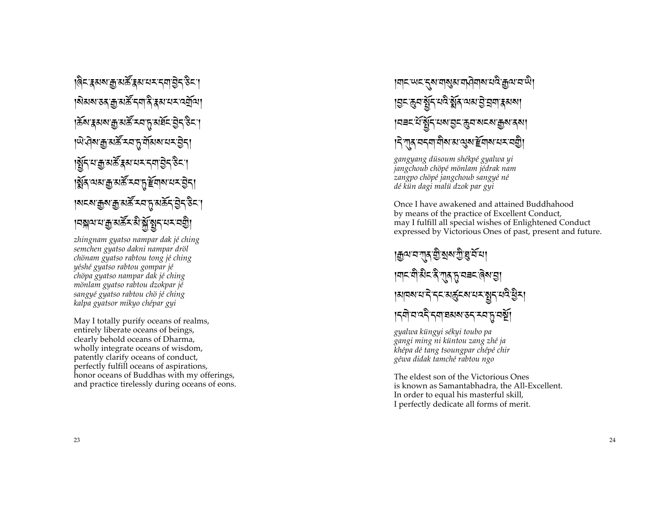।@न्द्रियाञ्चल अर्केद्रयायमान्<mark>म</mark>ाञ्जैन् रुन - -  $\mathbf{I}$ ।ঝমম'ডব'ক্ৰু'মৰ্ক্ৰ<sup>ঁ</sup>ন্না'ৰ্ব'ৰ্ম'থম'ন্ন্ৰ্ৰ্মীন্ম। - |क्रॅब'द्दबारू' अर्केन्फ्ला कर्णाटक स्थान करने कर्णाटक स्थान करें प्रसार करने कर<mark>ें</mark><br>|क्रॅब'द्दबारू' - -  $\mathbf{I}$  $|$ ঐ বিষ্যক্কু মস্ক্রীমন্য মন্ত্রনা -  $\mathbf{I}$ ]}+ . W-13~-M1 -.:-+# -A{+ -%m\$ - - -  $\overline{\mathcal{L}}$  $\mathbf{I}$ ৡ্বঁৰ্'অম'ক্ৰু'মৰ্ক্ট'মৰাম্'মৰ্মান্ত্ৰীয়া - |মহ্মাক্কুমস্ক্র<sup>ন্</sup>মন্দ্রমর্ক্রন্টব্রন্টিহ - - .<br>.<br>.  $\mathbf{l}$  $|$ নঙ্গীসারীসপুর্য স্থানীসী - - -

*zhingnam gyatso nampar dak jé ching semchen gyatso dakni nampar dröl chönam gyatso rabtou tong jé ching yéshé gyatso rabtou gompar jé chöpa gyatso nampar dak jé ching mönlam gyatso rabtou dzokpar jé sangyé gyatso rabtou chö jé ching kalpa gyatsor mikyo chépar gyi*

May I totally purify oceans of realms, entirely liberate oceans of beings, clearly behold oceans of Dharma, wholly integrate oceans of wisdom, patently clarify oceans of conduct, perfectly fulfill oceans of aspirations, honor oceans of Buddhas with my offerings, and practice tirelessly during oceans of eons.

#### $\vert$ वा $\pm$ 'ल $\pm$ 'ट्याचाङ्ग्रियाचारीवायाःत्युःक्रुवाचार्यु। - -  $\mathbf{I}$ ક્ટિલેન*ર્સ્ટ્રિટ નહું ક્*યા જાન્યું કે સંત્રા <mark>ક્</mark>રજ્યા -  $|$ নৰম্প্ৰীপুৰ্ব মহাত্ৰীৰ প্ৰবন্ধ ক্ৰীপ্ৰব্ৰ -  $|\zeta$ र्णुद् पद्मण योगअ अञ्जुष्ट्याव पद्म्यज्ञु। -

*gangyang düsoum shékpé gyalwa yi jangchoub chöpé mönlam jédrak nam zangpo chöpé jangchoub sangyé né dé kün dagi malü dzok par gyi* 

Once I have awakened and attained Buddhahood by means of the practice of Excellent Conduct, may I fulfill all special wishes of Enlightened Conduct expressed by Victorious Ones of past, present and future.

#### াক্ক্ৰমব্যস্থা য়ী যুষ্ম শ্ৰী ঘ্ৰাই বা  $\ln$ र यो सेट दे गुरु हु यबट बेब चु  $\cdot$ k1"= . -+{ -+\$ -13u\$= -.:- ]+ -.8m -@m:k -  $\frac{1}{\sqrt{2}}$ الآخت بالمستقبل العام المستقبل المستقبل المستقبل

*gyalwa küngyi sékyi toubo pa gangi ming ni küntou zang zhé ja khépa dé tang tsoungpar chépé chir géwa didak tamché rabtou ngo*

The eldest son of the Victorious Ones is known as Samantabhadra, the All -Excellent. In order to equal his masterful skill, I perfectly dedicate all forms of merit.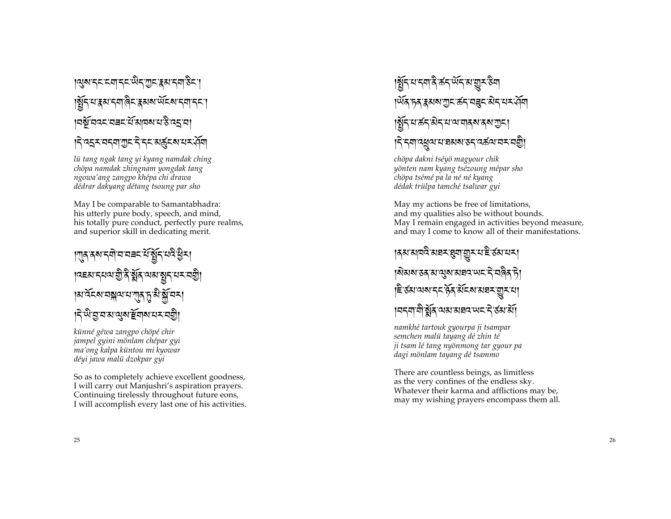# ऻॶऺॺॱॸड़ड़ॴड़ड़फ़ॖऀड़ॹऀड़ॷड़ॷॎ क्षि या हुआ दवा बिनाहरू अरु अन्यानना **19 มิ๊ ยังสะ ยาระ นิ**้ง ตลง สาราย

#### **।** देख्दर वदवा गुरू दे दर अर्कुरू यर पेवा

lü tang ngak tang yi kyang namdak ching chöpa namdak zhingnam yongdak tang ngowa'ang zangpo khépa chi drawa dédrar dakyang détang tsoung par sho

May I be comparable to Samantabhadra: his utterly pure body, speech, and mind, his totally pure conduct, perfectly pure realms, and superior skill in dedicating merit.

#### ।শ্ৰুৰ্ম বনীত্ৰত অৰ্ষুব্দৰী ষ্ট্ৰব্ |৭९४ दयवाणु दे यूर्व वायानुदाय पश्ची ।अ<sup>.</sup>ঽॅ६बावञ्जयायागुरु हि.झे.झॅ.वर्ग <u>।</u><br>বিজ্ঞানসন্থ ইন্সব্য নতী

künné géwa zangpo chöpé chir jampel gyini mönlam chépar gyi ma'ong kalpa küntou mi kyowar déyi jawa malu dzokpar gyi

So as to completely achieve excellent goodness, I will carry out Manjushri's aspiration prayers. Continuing tirelessly throughout future eons, I will accomplish every last one of his activities.

## ।ষ্ট্ৰনম্মনমাৰীৰ্কন<sup>্</sup>ৰ্শন মাত্মুমন্তিম <u>।</u>ॲ६<sup>੶</sup>ॸ६ॱ₹য়য়৾৾য়ঢ়৾ৼড়ৼৼৼৼঢ়ড় |श्लेंदयऊंदअदयव्यवादशरूयाणुद्र| |नेन्माद्युवायञ्चाराजन्दर्यायमञ्जू|

chöpa dakni tséyö magyour chik yönten nam kyang tsézoung mépar sho chöpa tsémé pa la né né kyang dédak trülpa tamché tsalwar gyi

May my actions be free of limitations, and my qualities also be without bounds. May I remain engaged in activities beyond measure, and may I come to know all of their manifestations.

#### ।**ৰঝ'মান্দ্ৰ'মঘ্ৰম্'যুম'যুম্'ম'ই'ৰ্সম'**মম্ ।ঝন্সমন্তৰ মানুমান্নহাম অহাই ঘৰিৰ চী ৼৼড়য়ড়ড়ৼড়ড়ড়ড়৸ড়ৼড় <u>। वदवायोर्झेर व्यस संवद पाद दे रहा सा</u>

namkhé tartouk gyourpa ji tsampar semchen malü tayang dé zhin té ji tsam lé tang nyönmong tar gyour pa dagi mönlam tayang dé tsammo

There are countless beings, as limitless as the very confines of the endless sky. Whatever their karma and afflictions may be, may my wishing prayers encompass them all.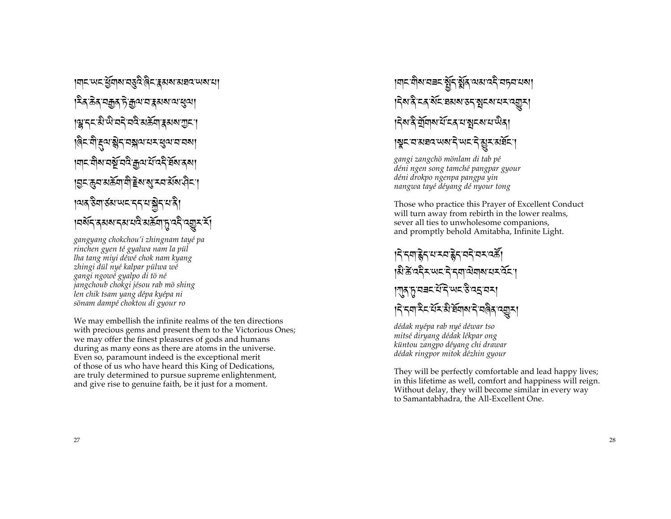।**ঘা**ম অম ধ্রুমাঝ বস্তুব বিমায় মাধ্য মাধ্য মা ।<sup>ই</sup>ৰ'ক্টৰ'নক্কুৰ'ট'ক্ৰুঅ'ন'ব্লুৰাম্ব্ৰেণ। ऻऄऀॾऺॾॶफ़ॶॾॾख़ॷॾख़ऻऄॴऄ |@८:योड्याञ्चेदावङ्गयायरायुवायायब्ग । নাম নীম নর্ষ্ট নন্ত্র ক্রুন র্য নেই ইন্স র্ম। <u>।ସମଞ୍</u>ଜ ଅଞ୍ଜାସି ইনজু শব*ই*নিটো ॺॎॸऄॻॳॕॺॱॺॸॸॸॸॱॺऄॸॱॺऄ निश्रू प्रथा रियान पर अप्रस्र पर प्रति प्रति पर प्रति

gangyang chokchou'i zhingnam tayé pa rinchen gyen té gyalwa nam la pül lha tang miyi déwé chok nam kyang zhingi dül nyé kalpar pülwa wé gangi ngowé gyalpo di tö né jangchoub chokgi jésou rab mö shing len chik tsam yang dépa kyépa ni sönam dampé choktou di gyour ro

We may embellish the infinite realms of the ten directions with precious gems and present them to the Victorious Ones; we may offer the finest pleasures of gods and humans during as many eons as there are atoms in the universe. Even so, paramount indeed is the exceptional merit of those of us who have heard this King of Dedications, are truly determined to pursue supreme enlightenment, and give rise to genuine faith, be it just for a moment.

।শ্ৰম শীৰ বৰম ষ্ট্ৰীৰ বিষাপেনী বিধানবো हिरा दे दद संद व्यय उद्भू दय य द्यू य ।देश दे यूँगिश र्य दद य ब्रेदशय पेदा ।भूमानासवाययाने पाराने ह्यूमासर्वेमा

gangi zangchö mönlam di tab pé déni ngen song tamché pangpar gyour déni drokpo ngenpa pangpa yin nangwa tayé déyang dé nyour tong

Those who practice this Prayer of Excellent Conduct will turn away from rebirth in the lower realms, sever all ties to unwholesome companions, and promptly behold Amitabha, Infinite Light.

ड़ॎॱॸॺॾॎॣॸॱय़ॱॸय़ॾॣॆॸॱय़ॸऀॱय़ॸॱढ़क़ॕॖ क्षिक्षेत्रम् अद्रम् दमायेगाराम् तेन् ।শৰ চামৰনাইনি অন্ত বহাৰ**ন**। दिन्त्र्याद्रैदर्भेद्रशेर्मेयारादे वले प्रत्याना

dédak nyépa rab nyé déwar tso mitsé diryang dédak lékpar ong küntou zangpo déyang chi drawar dédak ringpor mitok dézhin gyour

They will be perfectly comfortable and lead happy lives; in this lifetime as well, comfort and happiness will reign. Without delay, they will become similar in every way to Samantabhadra, the All-Excellent One.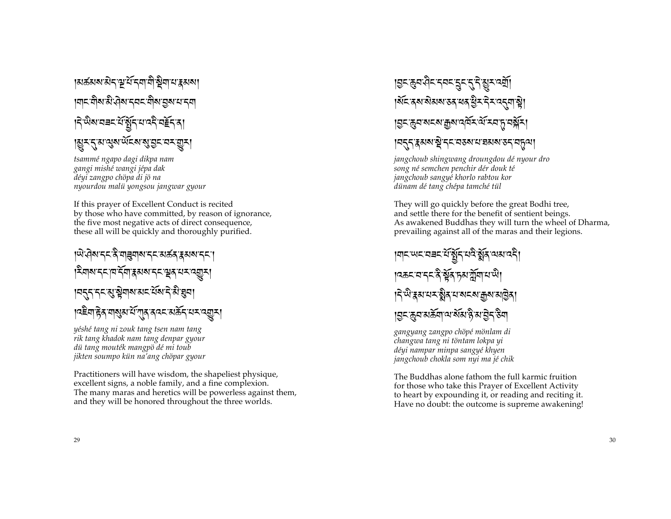∣মৰ্ক্তমম'ৰীব'শ্বাৰ্শবাসীষ্ট্ৰশাম'ৰ্ক্তমমা <u> เ</u>ตราติสาสินศิสารศราติสาธิสาราช निष्णियानवर संसुन सावने नहेन्ना ৠॎॸॸॖॣॴॶॺॱॲड़ॺॶॶड़ॸॸॸॼॗॸऻ

tsammé ngapo dagi dikpa nam gangi mishé wangi jépa dak déyi zangpo chöpa di jö na nyourdou malii yongsou jangwar gyour

If this prayer of Excellent Conduct is recited by those who have committed, by reason of ignorance, the five most negative acts of direct consequence, these all will be quickly and thoroughly purified.

ॵॎॷॴॸॸऄऀॴॾॴॴॾॸॴख़ॷॳॳॳॳ क्षिणरू दाय देवा इस राज्य स्वयं सम्य स्युत्र न्तुन नन् सु सेवाय अन् यें याने से चुना <u>||दद्देश हेरु गायुरु सें गारु रुपर सर्केन सम्पद्युम्</u>

yéshé tang ni zouk tang tsen nam tang rik tang khadok nam tang denpar gyour dü tang mouték mangpö dé mi toub jikten soumpo kün na'ang chöpar gyour

Practitioners will have wisdom, the shapeliest physique, excellent signs, a noble family, and a fine complexion. The many maras and heretics will be powerless against them, and they will be honored throughout the three worlds.

# ॾॎॸख़ॖॺऄॸॸॺॸड़ॗॸॸॖॣॸऀख़ॗॸॺॺॕऻॖ ।ॲ**८ दय सेमय उद यद युर देर द**त्या है। <u>|བྱང་རྱབ་སངས་རྒྱས་འལོར་ལོ་རབ་ད་བསྱོར།</u>

#### <u>। बहुतपुरुषबाञ्चे ददयवरुबायाञ्चल बहुत्वा</u>

jangchoub shingwang droungdou dé nyour dro song né semchen penchir dér douk té jangchoub sangyé khorlo rabtou kor dünam dé tang chépa tamché tül

They will go quickly before the great Bodhi tree, and settle there for the benefit of sentient beings. As awakened Buddhas they will turn the wheel of Dharma, prevailing against all of the maras and their legions.

ऻॻऻऺऺॴॾख़ॎॾॾज़ॖॳॖॳख़ख़ख़ख़ **।** दळदावाददादे सूत्र हुआर्ज़ुवायाणे। *៶*ঀ৾<sup>৻</sup>৸য়য়য়য়ৼয়ৢ৾য়৸য়ৼৼ৶ড়৸য়ঢ়ৗৼ <u>।ন্দক্ৰন মৰ্ক্তনা নাৰ্থমেণ্ট্ৰ মান্ন ইনা</u>

gangyang zangpo chöpé mönlam di changwa tang ni töntam lokpa yi déyi nampar minpa sangyé khyen jangchoub chokla som nyi ma jé chik

The Buddhas alone fathom the full karmic fruition for those who take this Prayer of Excellent Activity to heart by expounding it, or reading and reciting it. Have no doubt: the outcome is supreme awakening!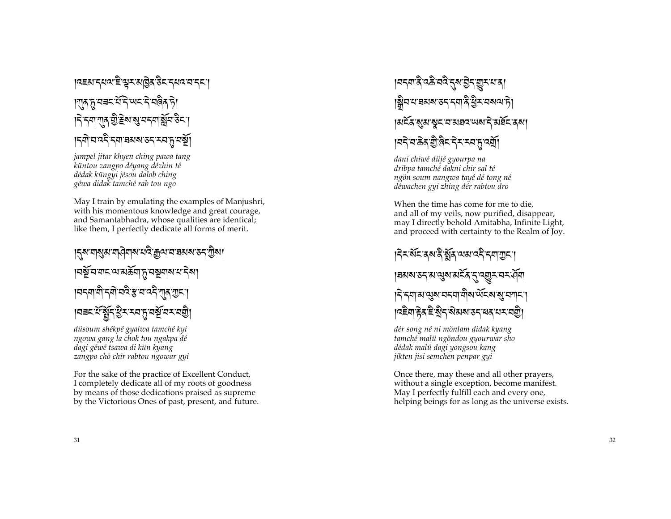#### । ਕਵਤਾਨਪਕਾਵੇ ਭੂਨ ਤਪ੍ਰੋਨ ਨੇਟ ਨਪਕ ਧਾਨਨ। । ग़ाक फ़ायबर ये दि स्पर दे वलैक फ़े ड़ॎॸॺग़ॹॖॖऀॾॆॺख़ॖॸॸॺऄॣ॔ॸऄॸॱ ।८बोघददैन्याञ्चस्र उदन्य प्रवर्षे।

jampel jitar khyen ching pawa tang küntou zangpo déyang dézhin té dédak küngyi jésou dalob ching géwa didak tamché rab tou ngo

May I train by emulating the examples of Manjushri, with his momentous knowledge and great courage, and Samantabhadra, whose qualities are identical; like them. I perfectly dedicate all forms of merit.

# <u>।</u><়ম'যামুম'যাঐ্যাম'থই'ক্রথ'য'হামম'ড়< শ্রীমা ऻॎक़ॕॖख़ॴऺॾख़ख़ॎ । यदवा वो दवो ववैः साव वदे राव राजा |मबदसिंबुद्धिरास्यातु प्रश्नुं यसपश्चि

düsoum shékpé gyalwa tamché kyi ngowa gang la chok tou ngakpa dé dagi géwé tsawa di kün kyang zangpo chö chir rabtou ngowar gyi

For the sake of the practice of Excellent Conduct, I completely dedicate all of my roots of goodness by means of those dedications praised as supreme by the Victorious Ones of past, present, and future.

## ऻॎॿऺख़ॷख़ॾॗख़ॷॾख़ऀॾॕॿऀॾख़ॷ ।ଛ୍ଲିସସସୟଷ୍ଟ୍ର ମେଗ୍ନି ସ୍ରିୟସ୍ୟ ସ୍ଥାନି ।**মইৰ** মূ্য়ামুহ বামঘ্ৰব অমাই মৰ্ঘ্ৰ বন্ধা निय कुर्युलिट देशस्य पुर्खा

dani chiwé düjé gyourpa na dribpa tamché dakni chir sal té ngön soum nangwa tayé dé tong né déwachen gyi zhing dér rabtou dro

When the time has come for me to die, and all of my veils, now purified, disappear, may I directly behold Amitabha, Infinite Light, and proceed with certainty to the Realm of Joy.

#### । देर सेंद दस दे झेंद व्यव दरे दवा गुड़। |ने नया अत्युरु चनया योग अंदरु सु चनाना <u>෦¤่ะิสฺ हेन्द्रीद सेहास उदय्वद्रायदावते।</u>

dér song né ni mönlam didak kyang tamché malii ngöndou gyourwar sho dédak malu dagi yongsou kang jikten jisi semchen penpar gyi

Once there, may these and all other prayers, without a single exception, become manifest. May I perfectly fulfill each and every one, helping beings for as long as the universe exists.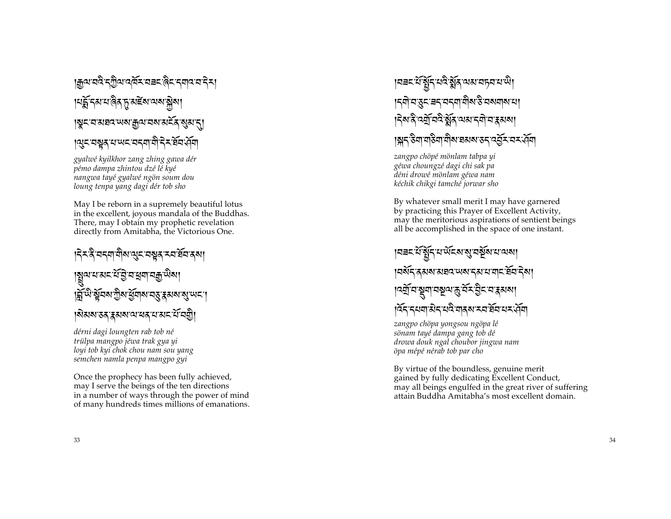#### । क्या वदे रगुला वर्षे राव= हिरा रणदा र र । **หรักระหมดิส ธู มะัย ฉพ**รรค ।ঝুন'ব'মহাব'অম'ক্ৰুণ'বম'মৰ্মিম্মান। ।্থুহ'বস্তুর'য'অহ'বহ্বা'যী'ইহ'র্ষর'র্ব্র

gyalwé kyilkhor zang zhing gawa dér pémo dampa zhintou dzé le kyé nangwa tayé gyalwé ngön soum dou loung tenpa yang dagi dér tob sho

May I be reborn in a supremely beautiful lotus in the excellent, joyous mandala of the Buddhas. There, may I obtain my prophetic revelation directly from Amitabha, the Victorious One.

ड़ॎ॓ॸढ़ॆॱॺॸॺॱॺॏॺॱॶॸॱॺॺॗढ़ॱॸॺॱॺ॔ॺॱढ़ॺग़ য়ৢিমমরাস্কর্তন্ত্রান্ত্রনাম্বরূজ্ঞা सिंपी सूत्र गुरा सुवारा वह रू अरा सुप्पर। । शेअष उद द्वाया या यद या अद या यद्यो

dérni dagi loungten rab tob né trülpa mangpo jéwa trak gya yi loyi tob kyi chok chou nam sou yang semchen namla penpa mangpo gyi

Once the prophecy has been fully achieved, may I serve the beings of the ten directions in a number of ways through the power of mind of many hundreds times millions of emanations.

#### य़ॎॾॸॱय़॔ॷॕॗॸॱय़ढ़ॆॱऄॗ॔ढ़ॱय़ॺॱय़ॸॖय़ॱय़ॱਘऀॱ ୲ॸॺॊॱॺॱड़ॸॱॿॸॱॺॸॺॱॺऀॺॎॱड़ॆॱॺॺॺॺॱॺॱ ड़ॎॺॱदे दर्युद्धिः अत्यादयो नः भाषा ।ॺॣॸॱᢌऀॺॱॺऻऀऄग़ॱॺॏॺॱ<mark>ॾ</mark>ॴॺॱड़ॸॱ<u>ढ़</u>ॷॕॸॱॺॸॱॶ<u>॔</u>॔ॺ

zangpo chöpé mönlam tabpa yi géwa choungzé dagi chi sak pa déni drowé mönlam géwa nam kéchik chikgi tamché jorwar sho

By whatever small merit I may have garnered by practicing this Prayer of Excellent Activity, may the meritorious aspirations of sentient beings all be accomplished in the space of one instant.

୲ঘ੩মধীৰীৰ দ্ৰাপ্তব্যৰ পূত্ৰ প্ৰধান <u> । ศลัศ</u>รสมสามารถ สามารถ สัตริยา ऻॎॴॖॖॴॾॕॴॾॎॕॴख़ऀड़ऻॷॸॴ ៲देनन्दयमाओनयदे मात्रू राम्य सेनयम् पूर्ण

zangpo chöpa yongsou ngöpa lé sönam tayé dampa gang tob dé drowa douk ngal choubor jingwa nam öpa mépé nérab tob par cho

By virtue of the boundless, genuine merit gained by fully dedicating Excellent Conduct, may all beings engulfed in the great river of suffering attain Buddha Amitabha's most excellent domain.